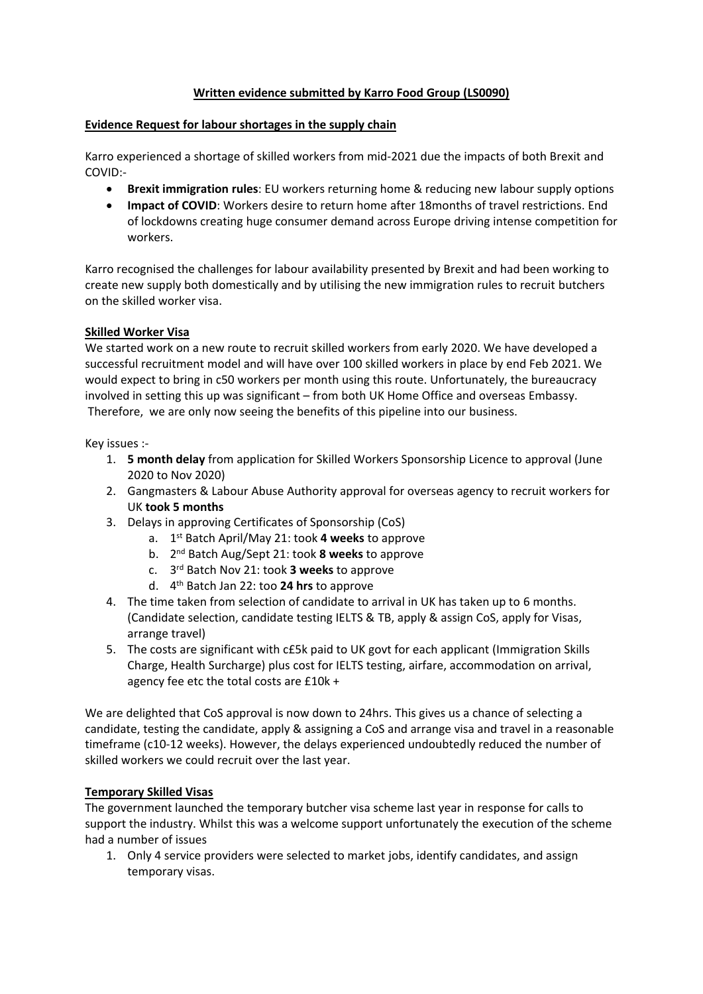# **Written evidence submitted by Karro Food Group (LS0090)**

### **Evidence Request for labour shortages in the supply chain**

Karro experienced a shortage of skilled workers from mid-2021 due the impacts of both Brexit and COVID:-

- **Brexit immigration rules**: EU workers returning home & reducing new labour supply options
- **Impact of COVID**: Workers desire to return home after 18months of travel restrictions. End of lockdowns creating huge consumer demand across Europe driving intense competition for workers.

Karro recognised the challenges for labour availability presented by Brexit and had been working to create new supply both domestically and by utilising the new immigration rules to recruit butchers on the skilled worker visa.

# **Skilled Worker Visa**

We started work on a new route to recruit skilled workers from early 2020. We have developed a successful recruitment model and will have over 100 skilled workers in place by end Feb 2021. We would expect to bring in c50 workers per month using this route. Unfortunately, the bureaucracy involved in setting this up was significant – from both UK Home Office and overseas Embassy. Therefore, we are only now seeing the benefits of this pipeline into our business.

Key issues :-

- 1. **5 month delay** from application for Skilled Workers Sponsorship Licence to approval (June 2020 to Nov 2020)
- 2. Gangmasters & Labour Abuse Authority approval for overseas agency to recruit workers for UK **took 5 months**
- 3. Delays in approving Certificates of Sponsorship (CoS)
	- a. 1 st Batch April/May 21: took **4 weeks** to approve
	- b. 2 nd Batch Aug/Sept 21: took **8 weeks** to approve
	- c. 3 rd Batch Nov 21: took **3 weeks** to approve
	- d. 4 th Batch Jan 22: too **24 hrs** to approve
- 4. The time taken from selection of candidate to arrival in UK has taken up to 6 months. (Candidate selection, candidate testing IELTS & TB, apply & assign CoS, apply for Visas, arrange travel)
- 5. The costs are significant with c£5k paid to UK govt for each applicant (Immigration Skills Charge, Health Surcharge) plus cost for IELTS testing, airfare, accommodation on arrival, agency fee etc the total costs are £10k +

We are delighted that CoS approval is now down to 24hrs. This gives us a chance of selecting a candidate, testing the candidate, apply & assigning a CoS and arrange visa and travel in a reasonable timeframe (c10-12 weeks). However, the delays experienced undoubtedly reduced the number of skilled workers we could recruit over the last year.

# **Temporary Skilled Visas**

The government launched the temporary butcher visa scheme last year in response for calls to support the industry. Whilst this was a welcome support unfortunately the execution of the scheme had a number of issues

1. Only 4 service providers were selected to market jobs, identify candidates, and assign temporary visas.